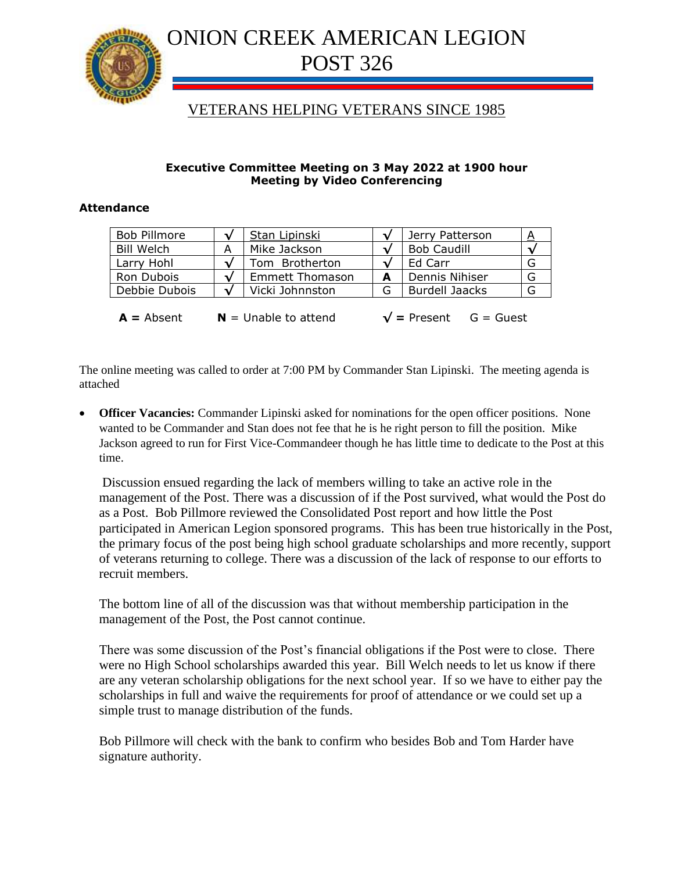

# ONION CREEK AMERICAN LEGION POST 326

## VETERANS HELPING VETERANS SINCE 1985

#### **Executive Committee Meeting on 3 May 2022 at 1900 hour Meeting by Video Conferencing**

#### **Attendance**

| <b>Bob Pillmore</b> | Stan Lipinski   |   | Jerry Patterson       |   |
|---------------------|-----------------|---|-----------------------|---|
| <b>Bill Welch</b>   | Mike Jackson    |   | <b>Bob Caudill</b>    |   |
| Larry Hohl          | Tom Brotherton  |   | Ed Carr               | G |
| Ron Dubois          | Emmett Thomason | А | Dennis Nihiser        | G |
| Debbie Dubois       | Vicki Johnnston | ទ | <b>Burdell Jaacks</b> | G |
|                     |                 |   |                       |   |

 $A =$  Absent  $N =$  Unable to attend  $\sqrt{ } =$  Present  $G =$  Guest

The online meeting was called to order at 7:00 PM by Commander Stan Lipinski. The meeting agenda is attached

**Officer Vacancies:** Commander Lipinski asked for nominations for the open officer positions. None wanted to be Commander and Stan does not fee that he is he right person to fill the position. Mike Jackson agreed to run for First Vice-Commandeer though he has little time to dedicate to the Post at this time.

Discussion ensued regarding the lack of members willing to take an active role in the management of the Post. There was a discussion of if the Post survived, what would the Post do as a Post. Bob Pillmore reviewed the Consolidated Post report and how little the Post participated in American Legion sponsored programs. This has been true historically in the Post, the primary focus of the post being high school graduate scholarships and more recently, support of veterans returning to college. There was a discussion of the lack of response to our efforts to recruit members.

The bottom line of all of the discussion was that without membership participation in the management of the Post, the Post cannot continue.

There was some discussion of the Post's financial obligations if the Post were to close. There were no High School scholarships awarded this year. Bill Welch needs to let us know if there are any veteran scholarship obligations for the next school year. If so we have to either pay the scholarships in full and waive the requirements for proof of attendance or we could set up a simple trust to manage distribution of the funds.

Bob Pillmore will check with the bank to confirm who besides Bob and Tom Harder have signature authority.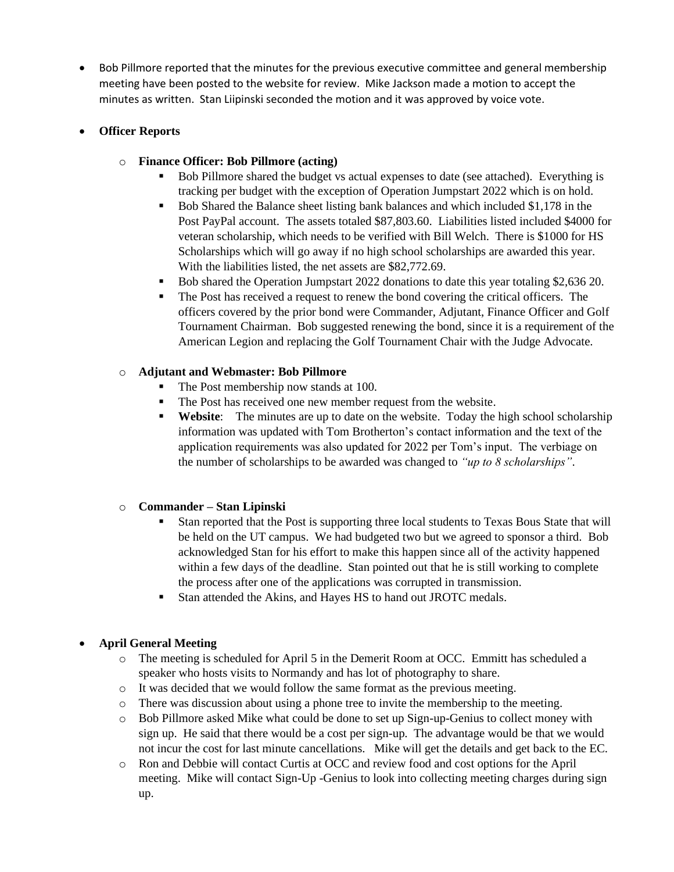• Bob Pillmore reported that the minutes for the previous executive committee and general membership meeting have been posted to the website for review. Mike Jackson made a motion to accept the minutes as written. Stan Liipinski seconded the motion and it was approved by voice vote.

#### • **Officer Reports**

#### o **Finance Officer: Bob Pillmore (acting)**

- Bob Pillmore shared the budget vs actual expenses to date (see attached). Everything is tracking per budget with the exception of Operation Jumpstart 2022 which is on hold.
- Bob Shared the Balance sheet listing bank balances and which included \$1,178 in the Post PayPal account. The assets totaled \$87,803.60. Liabilities listed included \$4000 for veteran scholarship, which needs to be verified with Bill Welch. There is \$1000 for HS Scholarships which will go away if no high school scholarships are awarded this year. With the liabilities listed, the net assets are \$82,772.69.
- Bob shared the Operation Jumpstart 2022 donations to date this year totaling \$2,636 20.
- The Post has received a request to renew the bond covering the critical officers. The officers covered by the prior bond were Commander, Adjutant, Finance Officer and Golf Tournament Chairman. Bob suggested renewing the bond, since it is a requirement of the American Legion and replacing the Golf Tournament Chair with the Judge Advocate.

#### o **Adjutant and Webmaster: Bob Pillmore**

- The Post membership now stands at 100.
- The Post has received one new member request from the website.
- **Website:** The minutes are up to date on the website. Today the high school scholarship information was updated with Tom Brotherton's contact information and the text of the application requirements was also updated for 2022 per Tom's input. The verbiage on the number of scholarships to be awarded was changed to *"up to 8 scholarships"*.

#### o **Commander – Stan Lipinski**

- Stan reported that the Post is supporting three local students to Texas Bous State that will be held on the UT campus. We had budgeted two but we agreed to sponsor a third. Bob acknowledged Stan for his effort to make this happen since all of the activity happened within a few days of the deadline. Stan pointed out that he is still working to complete the process after one of the applications was corrupted in transmission.
- Stan attended the Akins, and Hayes HS to hand out JROTC medals.

#### • **April General Meeting**

- o The meeting is scheduled for April 5 in the Demerit Room at OCC. Emmitt has scheduled a speaker who hosts visits to Normandy and has lot of photography to share.
- o It was decided that we would follow the same format as the previous meeting.
- o There was discussion about using a phone tree to invite the membership to the meeting.
- o Bob Pillmore asked Mike what could be done to set up Sign-up-Genius to collect money with sign up. He said that there would be a cost per sign-up. The advantage would be that we would not incur the cost for last minute cancellations. Mike will get the details and get back to the EC.
- o Ron and Debbie will contact Curtis at OCC and review food and cost options for the April meeting. Mike will contact Sign-Up -Genius to look into collecting meeting charges during sign up.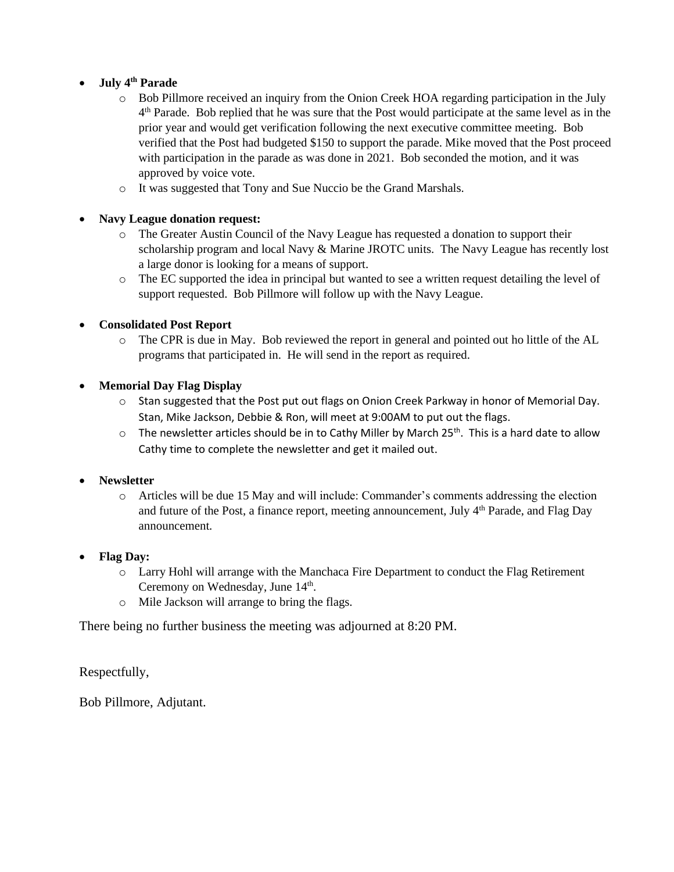#### • **July 4th Parade**

- o Bob Pillmore received an inquiry from the Onion Creek HOA regarding participation in the July 4<sup>th</sup> Parade. Bob replied that he was sure that the Post would participate at the same level as in the prior year and would get verification following the next executive committee meeting. Bob verified that the Post had budgeted \$150 to support the parade. Mike moved that the Post proceed with participation in the parade as was done in 2021. Bob seconded the motion, and it was approved by voice vote.
- o It was suggested that Tony and Sue Nuccio be the Grand Marshals.

#### • **Navy League donation request:**

- o The Greater Austin Council of the Navy League has requested a donation to support their scholarship program and local Navy & Marine JROTC units. The Navy League has recently lost a large donor is looking for a means of support.
- o The EC supported the idea in principal but wanted to see a written request detailing the level of support requested. Bob Pillmore will follow up with the Navy League.

### • **Consolidated Post Report**

o The CPR is due in May. Bob reviewed the report in general and pointed out ho little of the AL programs that participated in. He will send in the report as required.

### • **Memorial Day Flag Display**

- $\circ$  Stan suggested that the Post put out flags on Onion Creek Parkway in honor of Memorial Day. Stan, Mike Jackson, Debbie & Ron, will meet at 9:00AM to put out the flags.
- $\circ$  The newsletter articles should be in to Cathy Miller by March 25<sup>th</sup>. This is a hard date to allow Cathy time to complete the newsletter and get it mailed out.

#### • **Newsletter**

- o Articles will be due 15 May and will include: Commander's comments addressing the election and future of the Post, a finance report, meeting announcement, July  $4<sup>th</sup>$  Parade, and Flag Day announcement.
- **Flag Day:**
	- o Larry Hohl will arrange with the Manchaca Fire Department to conduct the Flag Retirement Ceremony on Wednesday, June 14<sup>th</sup>.
	- o Mile Jackson will arrange to bring the flags.

There being no further business the meeting was adjourned at 8:20 PM.

Respectfully,

Bob Pillmore, Adjutant.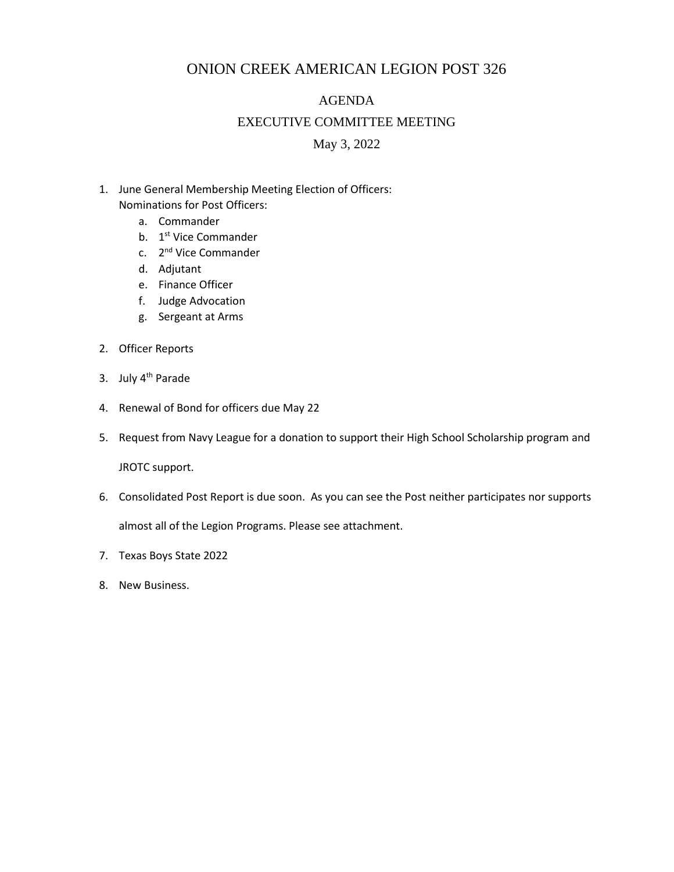## ONION CREEK AMERICAN LEGION POST 326

#### AGENDA

#### EXECUTIVE COMMITTEE MEETING

May 3, 2022

- 1. June General Membership Meeting Election of Officers: Nominations for Post Officers:
	- a. Commander
	- b. 1<sup>st</sup> Vice Commander
	- c. 2<sup>nd</sup> Vice Commander
	- d. Adjutant
	- e. Finance Officer
	- f. Judge Advocation
	- g. Sergeant at Arms
- 2. Officer Reports
- 3. July 4<sup>th</sup> Parade
- 4. Renewal of Bond for officers due May 22
- 5. Request from Navy League for a donation to support their High School Scholarship program and

JROTC support.

6. Consolidated Post Report is due soon. As you can see the Post neither participates nor supports

almost all of the Legion Programs. Please see attachment.

- 7. Texas Boys State 2022
- 8. New Business.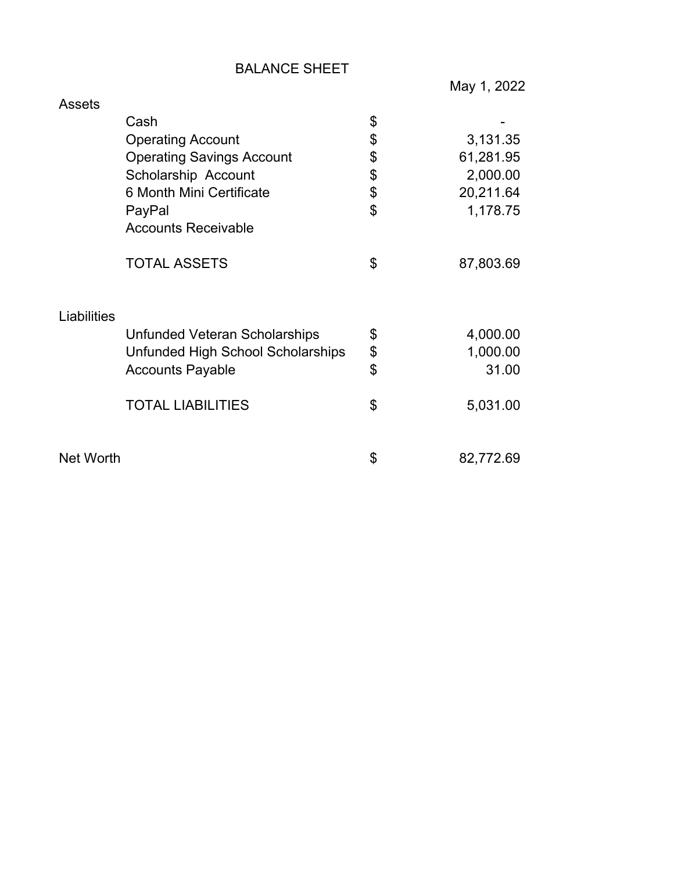## BALANCE SHEET

May 1, 2022

| <b>Assets</b>    |                                   |                 |
|------------------|-----------------------------------|-----------------|
|                  | Cash                              | \$              |
|                  | <b>Operating Account</b>          | \$<br>3,131.35  |
|                  | <b>Operating Savings Account</b>  | \$<br>61,281.95 |
|                  | Scholarship Account               | \$<br>2,000.00  |
|                  | 6 Month Mini Certificate          | \$<br>20,211.64 |
|                  | PayPal                            | \$<br>1,178.75  |
|                  | <b>Accounts Receivable</b>        |                 |
|                  | <b>TOTAL ASSETS</b>               | \$<br>87,803.69 |
| Liabilities      |                                   |                 |
|                  | Unfunded Veteran Scholarships     | \$<br>4,000.00  |
|                  | Unfunded High School Scholarships | \$<br>1,000.00  |
|                  | <b>Accounts Payable</b>           | \$<br>31.00     |
|                  | <b>TOTAL LIABILITIES</b>          | \$<br>5,031.00  |
| <b>Net Worth</b> |                                   | \$<br>82,772.69 |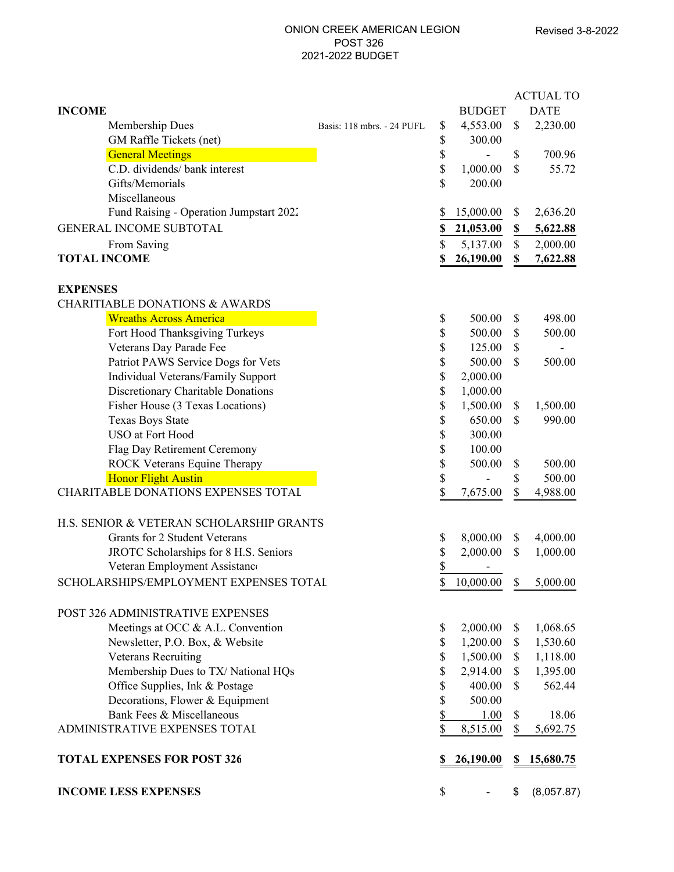#### ONION CREEK AMERICAN LEGION POST 326 2021-2022 BUDGET

|                                           |                            |    |               |               | <b>ACTUAL TO</b> |
|-------------------------------------------|----------------------------|----|---------------|---------------|------------------|
| <b>INCOME</b>                             |                            |    | <b>BUDGET</b> |               | <b>DATE</b>      |
| Membership Dues                           | Basis: 118 mbrs. - 24 PUFL | \$ | 4,553.00      | \$            | 2,230.00         |
| GM Raffle Tickets (net)                   |                            | \$ | 300.00        |               |                  |
| <b>General Meetings</b>                   |                            | \$ |               | \$            | 700.96           |
| C.D. dividends/ bank interest             |                            | \$ | 1,000.00      | \$            | 55.72            |
| Gifts/Memorials                           |                            | \$ | 200.00        |               |                  |
| Miscellaneous                             |                            |    |               |               |                  |
| Fund Raising - Operation Jumpstart 2022   |                            | \$ | 15,000.00     | \$            | 2,636.20         |
| GENERAL INCOME SUBTOTAL                   |                            | \$ | 21,053.00     | \$            | 5,622.88         |
| From Saving                               |                            | \$ | 5,137.00      | $\mathbb{S}$  | 2,000.00         |
| <b>TOTAL INCOME</b>                       |                            | \$ | 26,190.00     | \$            | 7,622.88         |
| <b>EXPENSES</b>                           |                            |    |               |               |                  |
| <b>CHARITIABLE DONATIONS &amp; AWARDS</b> |                            |    |               |               |                  |
| <b>Wreaths Across America</b>             |                            | \$ | 500.00        | \$            | 498.00           |
| Fort Hood Thanksgiving Turkeys            |                            | \$ | 500.00        | \$            | 500.00           |
| Veterans Day Parade Fee                   |                            | \$ | 125.00        | \$            |                  |
| Patriot PAWS Service Dogs for Vets        |                            | \$ | 500.00        | \$            | 500.00           |
| Individual Veterans/Family Support        |                            | \$ | 2,000.00      |               |                  |
| Discretionary Charitable Donations        |                            | \$ | 1,000.00      |               |                  |
| Fisher House (3 Texas Locations)          |                            | \$ | 1,500.00      | \$            | 1,500.00         |
| <b>Texas Boys State</b>                   |                            | \$ | 650.00        | \$            | 990.00           |
| USO at Fort Hood                          |                            | \$ | 300.00        |               |                  |
| Flag Day Retirement Ceremony              |                            | \$ | 100.00        |               |                  |
| ROCK Veterans Equine Therapy              |                            | \$ | 500.00        | \$            | 500.00           |
| <b>Honor Flight Austin</b>                |                            | \$ |               | \$            | 500.00           |
| CHARITABLE DONATIONS EXPENSES TOTAL       |                            | \$ | 7,675.00      | \$            | 4,988.00         |
| H.S. SENIOR & VETERAN SCHOLARSHIP GRANTS  |                            |    |               |               |                  |
| Grants for 2 Student Veterans             |                            | \$ | 8,000.00      | \$            | 4,000.00         |
| JROTC Scholarships for 8 H.S. Seniors     |                            | \$ | 2,000.00      | $\mathbb{S}$  | 1,000.00         |
| Veteran Employment Assistance             |                            | \$ |               |               |                  |
| SCHOLARSHIPS/EMPLOYMENT EXPENSES TOTAL    |                            | \$ | 10,000.00     | $\mathbb{S}$  | 5,000.00         |
| POST 326 ADMINISTRATIVE EXPENSES          |                            |    |               |               |                  |
| Meetings at OCC & A.L. Convention         |                            | \$ | 2,000.00      | \$            | 1,068.65         |
| Newsletter, P.O. Box, & Website           |                            | \$ | 1,200.00      | \$            | 1,530.60         |
| <b>Veterans Recruiting</b>                |                            | \$ | 1,500.00      | \$            | 1,118.00         |
| Membership Dues to TX/ National HQs       |                            | \$ | 2,914.00      | \$            | 1,395.00         |
| Office Supplies, Ink & Postage            |                            | \$ | 400.00        | $\mathcal{S}$ | 562.44           |
| Decorations, Flower & Equipment           |                            | \$ | 500.00        |               |                  |
| Bank Fees & Miscellaneous                 |                            | \$ | 1.00          | \$            | 18.06            |
| ADMINISTRATIVE EXPENSES TOTAL             |                            | \$ | 8,515.00      | \$            | 5,692.75         |
| <b>TOTAL EXPENSES FOR POST 326</b>        |                            | S  | 26,190.00     | S             | 15,680.75        |
| <b>INCOME LESS EXPENSES</b>               |                            | \$ |               | \$            | (8,057.87)       |